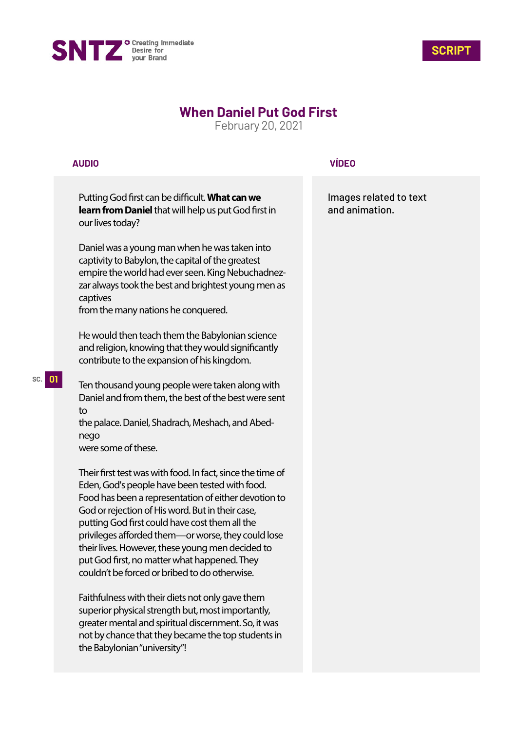



# **When Daniel Put God First**

February 20, 2021

## **AUDIO**

**SC. 01**

Putting God first can be difficult. What can we **learn from Daniel** that will help us put God first in our lives today?

Daniel was a young man when he was taken into captivity to Babylon, the capital of the greatest empire the world had ever seen. King Nebuchadnezzar always took the best and brightest young men as captives

from the many nations he conquered.

He would then teach them the Babylonian science and religion, knowing that they would significantly contribute to the expansion of his kingdom.

Ten thousand young people were taken along with Daniel and from them, the best of the best were sent to

the palace. Daniel, Shadrach, Meshach, and Abednego were some of these.

Their first test was with food. In fact, since the time of Eden, God's people have been tested with food. Food has been a representation of either devotion to God or rejection of His word. But in their case, putting God first could have cost them all the privileges afforded them—or worse, they could lose their lives. However, these young men decided to put God first, no matter what happened. They couldn't be forced or bribed to do otherwise.

Faithfulness with their diets not only gave them superior physical strength but, most importantly, greater mental and spiritual discernment. So, it was not by chance that they became the top students in the Babylonian "university"!

### **VÍDEO**

Images related to text and animation.